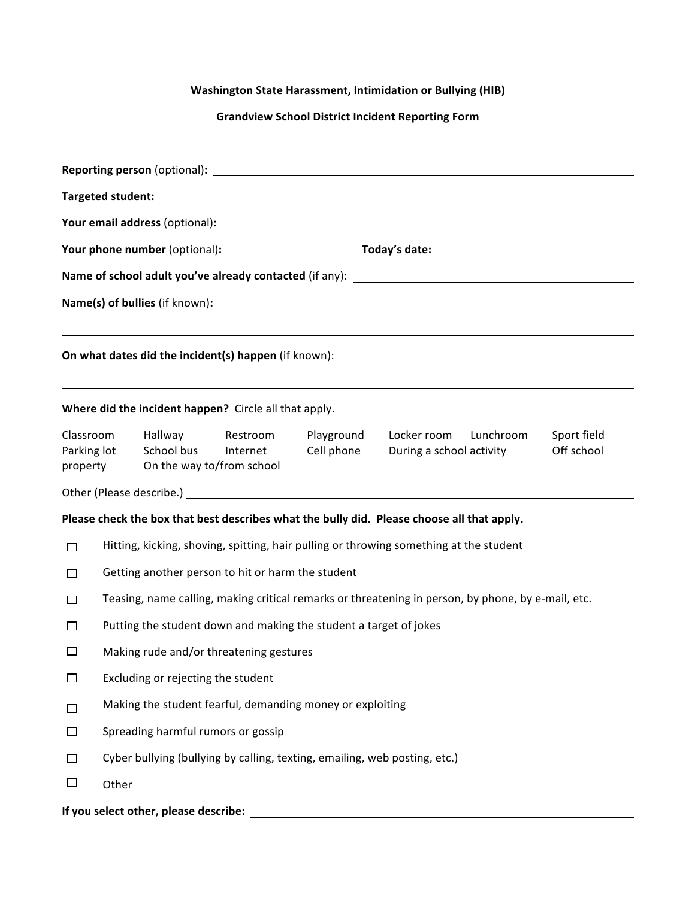## **Washington State Harassment, Intimidation or Bullying (HIB)**

## **Grandview School District Incident Reporting Form**

| Name(s) of bullies (if known):       |                                                                                                    |                                                    |                                                       |                                                           |                                                                                                                                                                                                                                |                           |  |  |  |  |
|--------------------------------------|----------------------------------------------------------------------------------------------------|----------------------------------------------------|-------------------------------------------------------|-----------------------------------------------------------|--------------------------------------------------------------------------------------------------------------------------------------------------------------------------------------------------------------------------------|---------------------------|--|--|--|--|
|                                      |                                                                                                    |                                                    | On what dates did the incident(s) happen (if known):  |                                                           |                                                                                                                                                                                                                                |                           |  |  |  |  |
|                                      |                                                                                                    |                                                    | Where did the incident happen? Circle all that apply. |                                                           | ,我们也不会有什么。""我们的人,我们也不会有什么?""我们的人,我们也不会有什么?""我们的人,我们也不会有什么?""我们的人,我们也不会有什么?""我们的人                                                                                                                                               |                           |  |  |  |  |
| Classroom<br>Parking lot<br>property |                                                                                                    | Hallway<br>School bus<br>On the way to/from school | Restroom<br>Internet                                  | Playground<br>Cell phone                                  | Locker room<br>Lunchroom<br>During a school activity                                                                                                                                                                           | Sport field<br>Off school |  |  |  |  |
|                                      |                                                                                                    |                                                    |                                                       |                                                           | Other (Please describe.) example and the set of the set of the set of the set of the set of the set of the set of the set of the set of the set of the set of the set of the set of the set of the set of the set of the set o |                           |  |  |  |  |
|                                      |                                                                                                    |                                                    |                                                       |                                                           | Please check the box that best describes what the bully did. Please choose all that apply.                                                                                                                                     |                           |  |  |  |  |
| $\Box$                               | Hitting, kicking, shoving, spitting, hair pulling or throwing something at the student             |                                                    |                                                       |                                                           |                                                                                                                                                                                                                                |                           |  |  |  |  |
| $\Box$                               | Getting another person to hit or harm the student                                                  |                                                    |                                                       |                                                           |                                                                                                                                                                                                                                |                           |  |  |  |  |
| $\Box$                               | Teasing, name calling, making critical remarks or threatening in person, by phone, by e-mail, etc. |                                                    |                                                       |                                                           |                                                                                                                                                                                                                                |                           |  |  |  |  |
| П                                    | Putting the student down and making the student a target of jokes                                  |                                                    |                                                       |                                                           |                                                                                                                                                                                                                                |                           |  |  |  |  |
| ∟                                    |                                                                                                    |                                                    | Making rude and/or threatening gestures               |                                                           |                                                                                                                                                                                                                                |                           |  |  |  |  |
| $\Box$                               |                                                                                                    | Excluding or rejecting the student                 |                                                       |                                                           |                                                                                                                                                                                                                                |                           |  |  |  |  |
| П                                    |                                                                                                    |                                                    |                                                       | Making the student fearful, demanding money or exploiting |                                                                                                                                                                                                                                |                           |  |  |  |  |
| $\Box$                               | Spreading harmful rumors or gossip                                                                 |                                                    |                                                       |                                                           |                                                                                                                                                                                                                                |                           |  |  |  |  |
| $\Box$                               | Cyber bullying (bullying by calling, texting, emailing, web posting, etc.)                         |                                                    |                                                       |                                                           |                                                                                                                                                                                                                                |                           |  |  |  |  |
| $\Box$                               | Other                                                                                              |                                                    |                                                       |                                                           |                                                                                                                                                                                                                                |                           |  |  |  |  |
|                                      |                                                                                                    | If you select other, please describe:              |                                                       |                                                           |                                                                                                                                                                                                                                |                           |  |  |  |  |